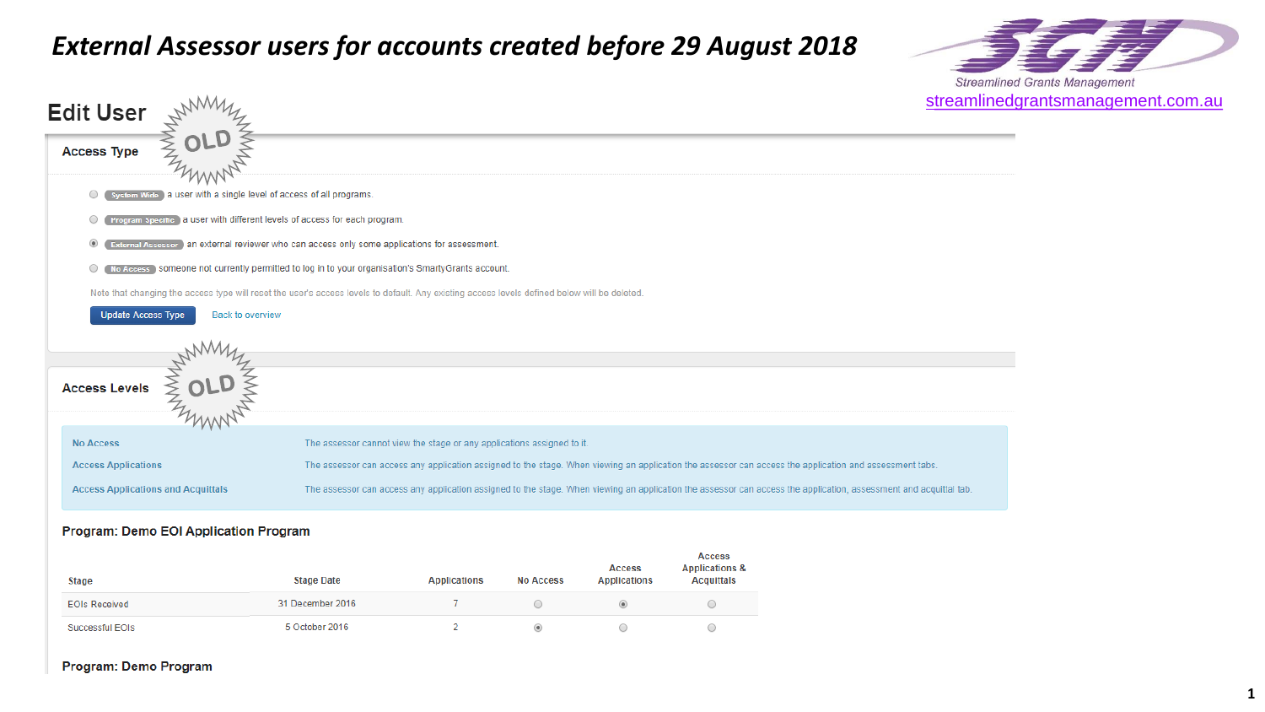# *External Assessor users for accounts created before 29 August 2018*





#### **Program: Demo EOI Application Program**

| Stage                | <b>Stage Date</b> | <b>Applications</b> | <b>No Access</b> | Access<br><b>Applications</b> | <b>Access</b><br><b>Applications &amp;</b><br><b>Acquittals</b> |
|----------------------|-------------------|---------------------|------------------|-------------------------------|-----------------------------------------------------------------|
| <b>EOIs Received</b> | 31 December 2016  |                     |                  |                               |                                                                 |
| Successful EOIs      | 5 October 2016    |                     |                  |                               |                                                                 |

#### Program: Demo Program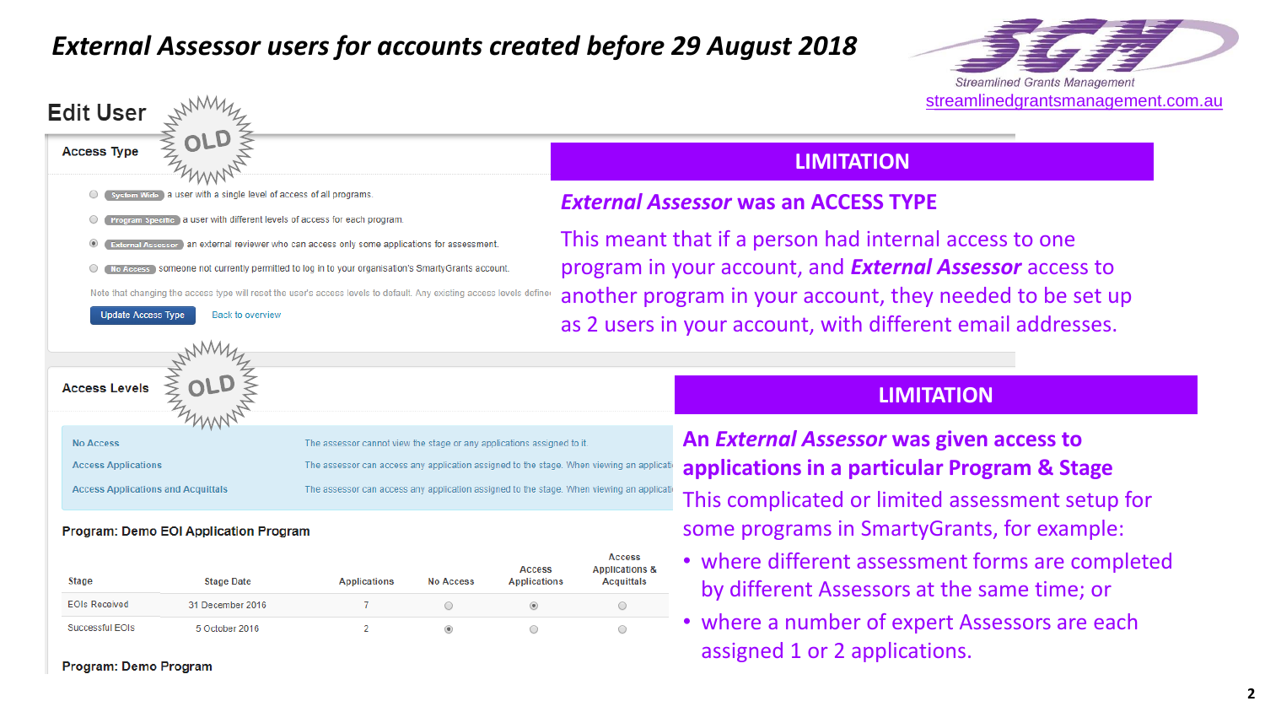# *External Assessor users for accounts created before 29 August 2018*





#### **Program: Demo EOI Application Program**

| Stage                | <b>Stage Date</b> | Applications | <b>No Access</b> | Access<br><b>Applications</b> | Access<br><b>Applications &amp;</b><br><b>Acquittals</b> |
|----------------------|-------------------|--------------|------------------|-------------------------------|----------------------------------------------------------|
| <b>EOIs Received</b> | 31 December 2016  |              |                  |                               |                                                          |
| Successful EOIs      | 5 October 2016    |              |                  |                               |                                                          |

**Program: Demo Program** 

## **LIMITATION**

## *External Assessor* **was an ACCESS TYPE**

This meant that if a person had internal access to one program in your account, and *External Assessor* access to another program in your account, they needed to be set up as 2 users in your account, with different email addresses.

## **LIMITATION**

**An** *External Assessor* **was given access to applications in a particular Program & Stage** This complicated or limited assessment setup for some programs in SmartyGrants, for example:

- where different assessment forms are completed by different Assessors at the same time; or
- where a number of expert Assessors are each assigned 1 or 2 applications.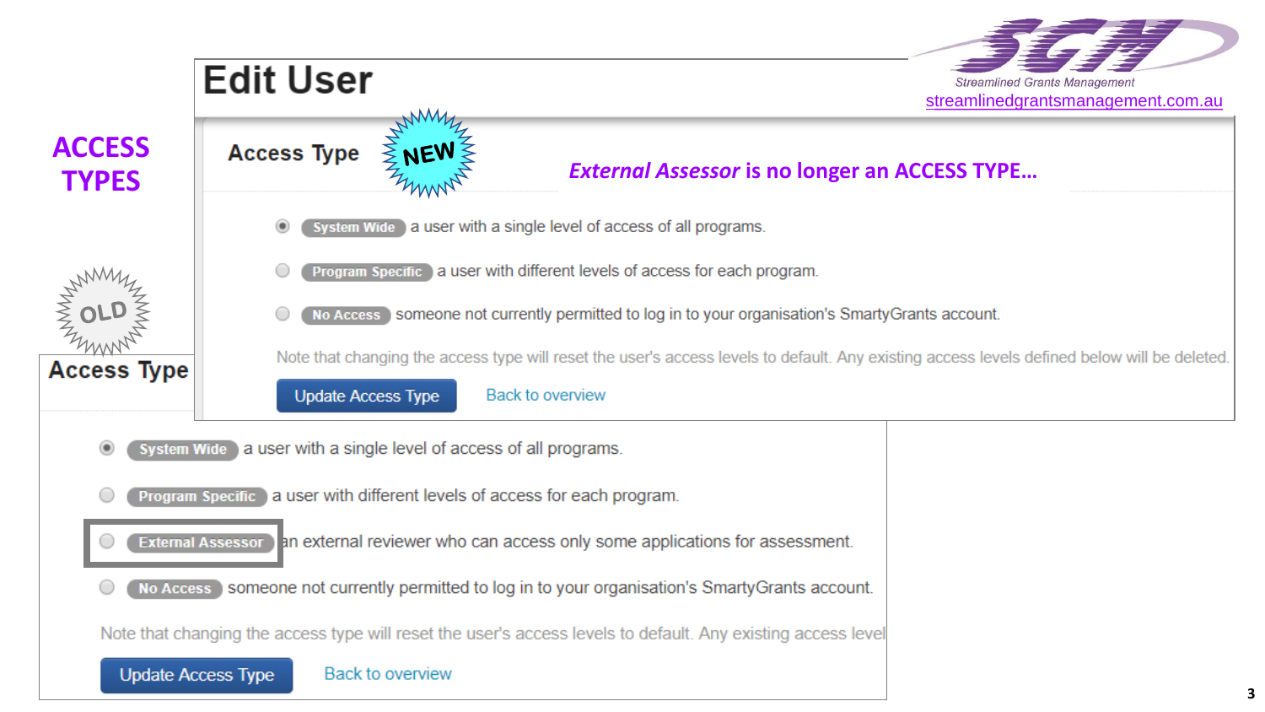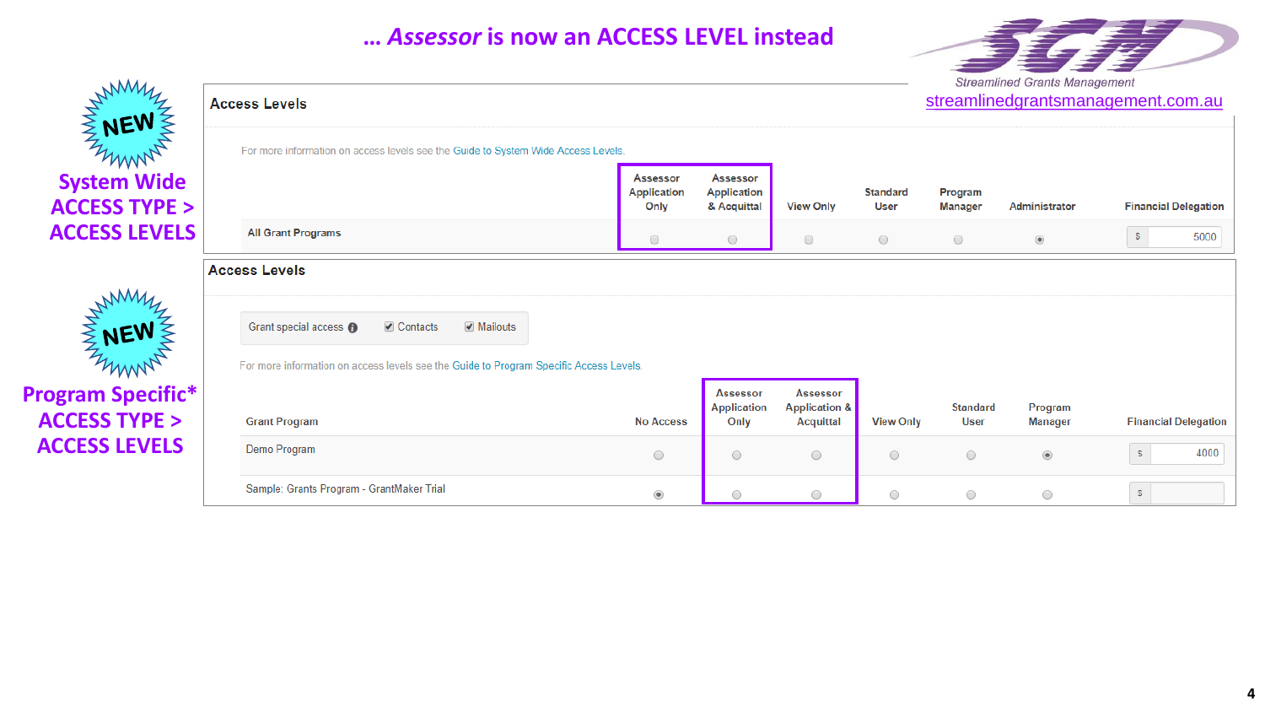# **…** *Assessor* **is now an ACCESS LEVEL instead**





**Program Specific\* ACCESS TYPE > ACCESS LEVELS**

ENEW

NEW

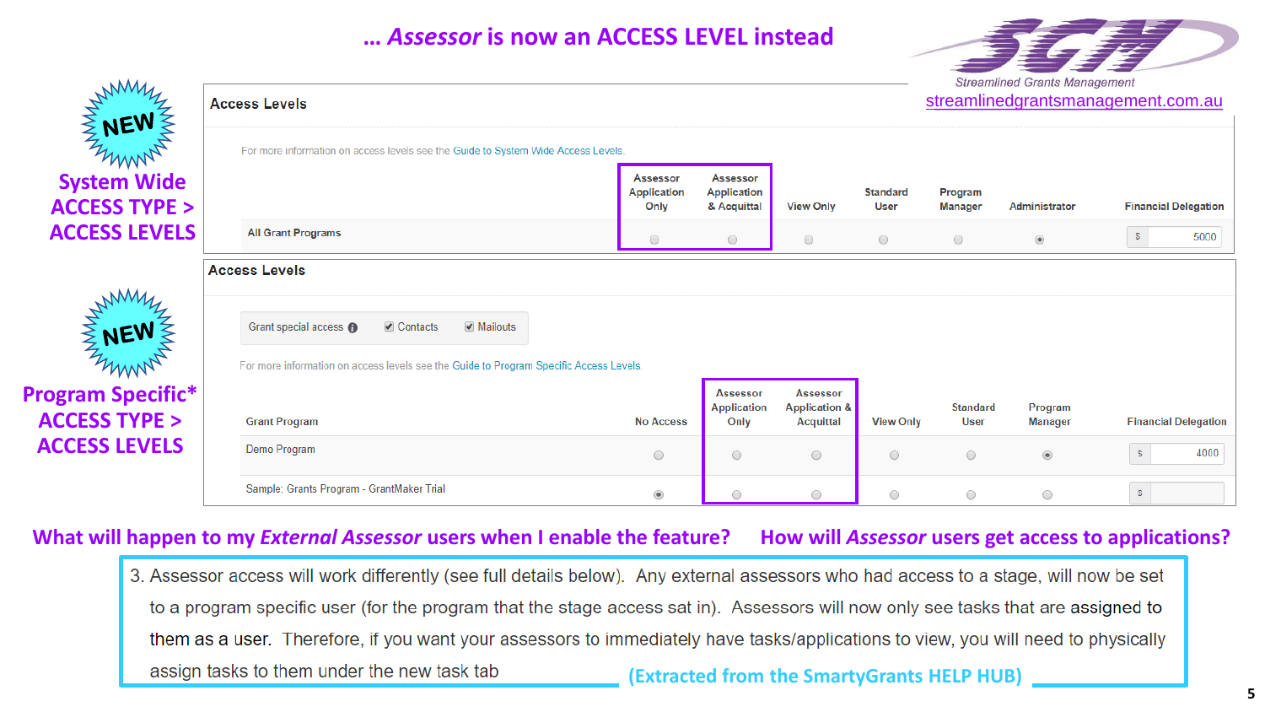# **…** *Assessor* **is now an ACCESS LEVEL instead**





| $\mathcal{H}$                                       | <b>Access Levels</b>                                                                                                                                |                                        | streamlinedgrantsmanagement.com.au            |                                                                 |                                |                           |                           |                             |  |
|-----------------------------------------------------|-----------------------------------------------------------------------------------------------------------------------------------------------------|----------------------------------------|-----------------------------------------------|-----------------------------------------------------------------|--------------------------------|---------------------------|---------------------------|-----------------------------|--|
| <b>ENEW WARREN</b>                                  | For more information on access levels see the Guide to System Wide Access Levels.                                                                   |                                        |                                               |                                                                 |                                |                           |                           |                             |  |
| <b>System Wide</b><br><b>ACCESS TYPE &gt;</b>       |                                                                                                                                                     | Assessor<br><b>Application</b><br>Only | Assessor<br><b>Application</b><br>& Acquittal | <b>View Only</b>                                                | <b>Standard</b><br><b>User</b> | Program<br><b>Manager</b> | Administrator             | <b>Financial Delegation</b> |  |
| <b>ACCESS LEVELS</b>                                | <b>All Grant Programs</b>                                                                                                                           | $\circ$                                | $\circ$                                       | $\bigcirc$                                                      | $\circ$                        | $\bigcirc$                | $^\circledR$              | $\circ$<br>5000             |  |
|                                                     | <b>Access Levels</b>                                                                                                                                |                                        |                                               |                                                                 |                                |                           |                           |                             |  |
| <b>WANNY</b>                                        | <b>⊘</b> Contacts<br>☑ Mailouts<br>Grant special access @<br>For more information on access levels see the Guide to Program Specific Access Levels. |                                        |                                               |                                                                 |                                |                           |                           |                             |  |
| <b>Program Specific*</b><br><b>ACCESS TYPE &gt;</b> | <b>Grant Program</b>                                                                                                                                | <b>No Access</b>                       | <b>Assessor</b><br><b>Application</b><br>Only | <b>Assessor</b><br><b>Application &amp;</b><br><b>Acquittal</b> | <b>View Only</b>               | <b>Standard</b><br>User   | Program<br><b>Manager</b> | <b>Financial Delegation</b> |  |
| <b>ACCESS LEVELS</b>                                | Demo Program                                                                                                                                        | 0                                      | $\circ$                                       | $\bigcirc$                                                      | $\circ$                        | $\bigcirc$                | $^\circledR$              | $\mathbb S$<br>4000         |  |
|                                                     | Sample: Grants Program - GrantMaker Trial                                                                                                           | ۰                                      | 0                                             | $\bigcirc$                                                      | 0                              | $\bigcirc$                | $\circ$                   | $\mathbb{S}^-$              |  |

## **What will happen to my** *External Assessor* **users when I enable the feature? How will** *Assessor* **users get access to applications?**

3. Assessor access will work differently (see full details below). Any external assessors who had access to a stage, will now be set to a program specific user (for the program that the stage access sat in). Assessors will now only see tasks that are assigned to them as a user. Therefore, if you want your assessors to immediately have tasks/applications to view, you will need to physically assign tasks to them under the new task tab **(Extracted from the SmartyGrants HELP HUB)**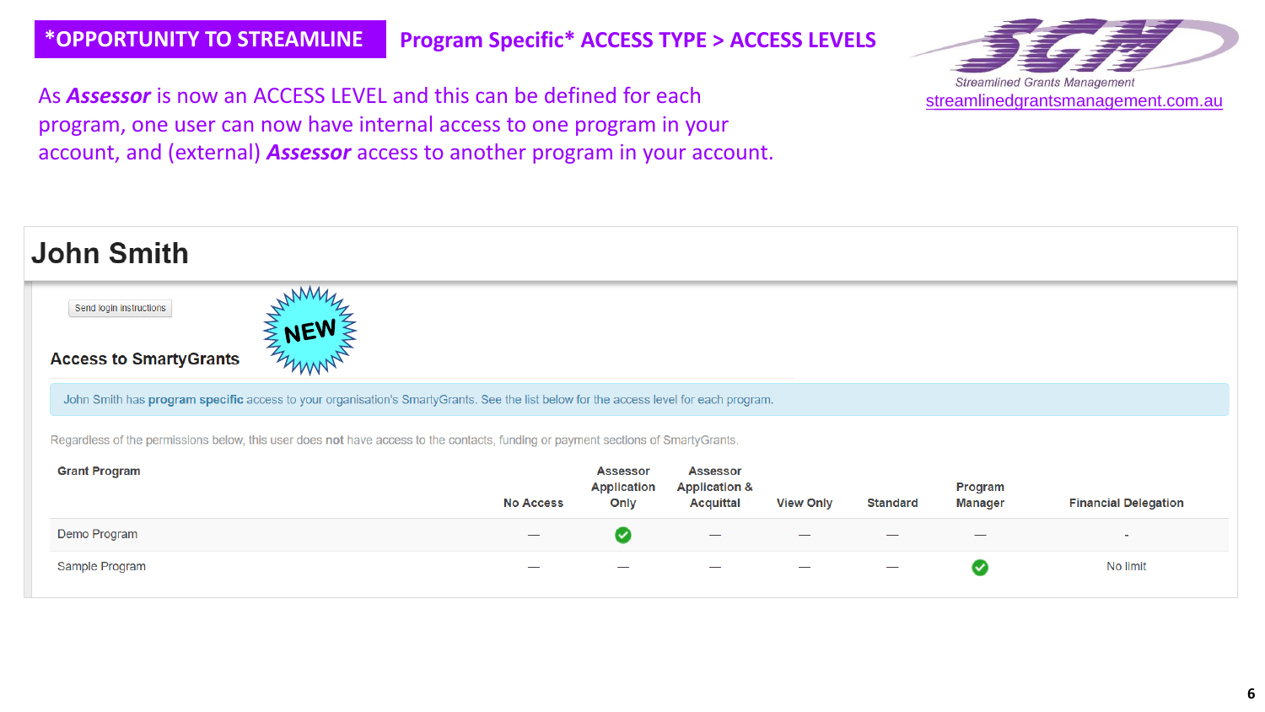**Labor Controller** 

**\*OPPORTUNITY TO STREAMLINE Program Specific\* ACCESS TYPE > ACCESS LEVELS**

As *Assessor* is now an ACCESS LEVEL and this can be defined for each program, one user can now have internal access to one program in your account, and (external) *Assessor* access to another program in your account.



| JONN ƏMIM                                                                                                                             |             |                  |                                               |                                                                 |                  |                 |                           |                             |  |  |
|---------------------------------------------------------------------------------------------------------------------------------------|-------------|------------------|-----------------------------------------------|-----------------------------------------------------------------|------------------|-----------------|---------------------------|-----------------------------|--|--|
| Send login instructions                                                                                                               | WWW         |                  |                                               |                                                                 |                  |                 |                           |                             |  |  |
| <b>Access to SmartyGrants</b>                                                                                                         | <b>ENEW</b> |                  |                                               |                                                                 |                  |                 |                           |                             |  |  |
| John Smith has program specific access to your organisation's SmartyGrants. See the list below for the access level for each program. |             |                  |                                               |                                                                 |                  |                 |                           |                             |  |  |
| Regardless of the permissions below, this user does not have access to the contacts, funding or payment sections of SmartyGrants.     |             |                  |                                               |                                                                 |                  |                 |                           |                             |  |  |
| <b>Grant Program</b>                                                                                                                  |             | <b>No Access</b> | <b>Assessor</b><br><b>Application</b><br>Only | <b>Assessor</b><br><b>Application &amp;</b><br><b>Acquittal</b> | <b>View Only</b> | <b>Standard</b> | Program<br><b>Manager</b> | <b>Financial Delegation</b> |  |  |
| Demo Program                                                                                                                          |             |                  | ◙                                             |                                                                 |                  |                 |                           | $\overline{a}$              |  |  |
| Sample Program                                                                                                                        |             |                  |                                               |                                                                 |                  |                 | $\checkmark$              | No limit                    |  |  |